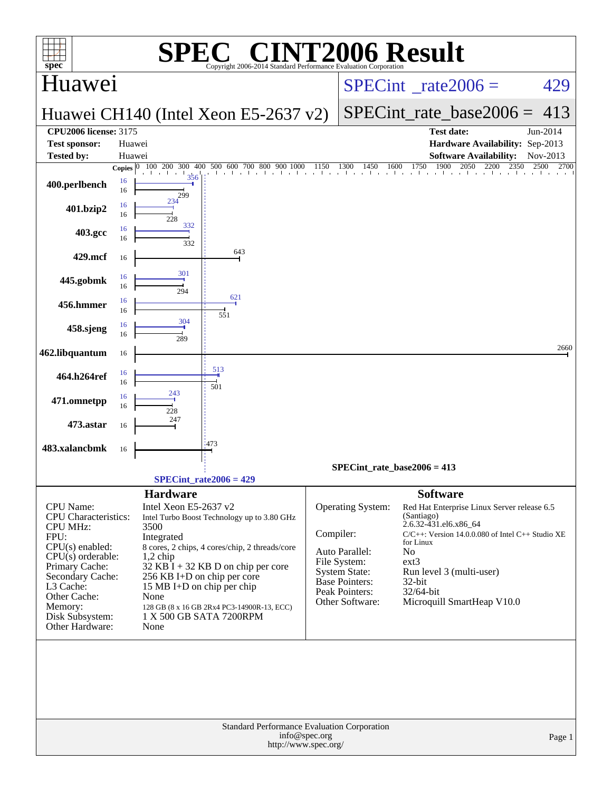| $spec^*$                                                                                                                                                                                                                            | $\mathbf{P}(\mathbb{R})$<br>Copyright 2006-2014 Standard Performance Evaluation Corporation                                                                                                                                                                                                                                                              | <b>INT2006 Result</b>                                                                                                                                                                                                                                                                                                                                                                                                           |
|-------------------------------------------------------------------------------------------------------------------------------------------------------------------------------------------------------------------------------------|----------------------------------------------------------------------------------------------------------------------------------------------------------------------------------------------------------------------------------------------------------------------------------------------------------------------------------------------------------|---------------------------------------------------------------------------------------------------------------------------------------------------------------------------------------------------------------------------------------------------------------------------------------------------------------------------------------------------------------------------------------------------------------------------------|
| Huawei                                                                                                                                                                                                                              |                                                                                                                                                                                                                                                                                                                                                          | 429<br>$SPECint^{\circ}$ rate $2006 =$                                                                                                                                                                                                                                                                                                                                                                                          |
|                                                                                                                                                                                                                                     | Huawei CH140 (Intel Xeon E5-2637 v2)                                                                                                                                                                                                                                                                                                                     | $SPECint$ rate base2006 =<br>413                                                                                                                                                                                                                                                                                                                                                                                                |
| <b>CPU2006 license: 3175</b><br><b>Test sponsor:</b><br><b>Tested by:</b>                                                                                                                                                           | Huawei<br>Huawei                                                                                                                                                                                                                                                                                                                                         | Jun-2014<br><b>Test date:</b><br>Hardware Availability: Sep-2013<br><b>Software Availability:</b><br>Nov-2013                                                                                                                                                                                                                                                                                                                   |
|                                                                                                                                                                                                                                     | 100 200 300 400 500 600 700 800 900 1000<br>Copies $\boxed{0}$                                                                                                                                                                                                                                                                                           | 00 1150 1300 1450 1600 1750 1900 2050 2200 2<br>2500<br>2350<br>2700                                                                                                                                                                                                                                                                                                                                                            |
| 16<br>400.perlbench<br>16                                                                                                                                                                                                           | the control of the China Chi<br>356<br>299                                                                                                                                                                                                                                                                                                               |                                                                                                                                                                                                                                                                                                                                                                                                                                 |
| 16<br>401.bzip2<br>16                                                                                                                                                                                                               | 234<br>228                                                                                                                                                                                                                                                                                                                                               |                                                                                                                                                                                                                                                                                                                                                                                                                                 |
| 16<br>403.gcc<br>16                                                                                                                                                                                                                 | 332<br>332                                                                                                                                                                                                                                                                                                                                               |                                                                                                                                                                                                                                                                                                                                                                                                                                 |
| 429.mcf<br>16                                                                                                                                                                                                                       | 643                                                                                                                                                                                                                                                                                                                                                      |                                                                                                                                                                                                                                                                                                                                                                                                                                 |
| 16<br>445.gobmk<br>16                                                                                                                                                                                                               | 301<br>294                                                                                                                                                                                                                                                                                                                                               |                                                                                                                                                                                                                                                                                                                                                                                                                                 |
| 16<br>456.hmmer<br>16                                                                                                                                                                                                               | 621<br>551                                                                                                                                                                                                                                                                                                                                               |                                                                                                                                                                                                                                                                                                                                                                                                                                 |
| 16<br>458.sjeng<br>16                                                                                                                                                                                                               | 304<br>289                                                                                                                                                                                                                                                                                                                                               |                                                                                                                                                                                                                                                                                                                                                                                                                                 |
| 462.libquantum<br>16                                                                                                                                                                                                                |                                                                                                                                                                                                                                                                                                                                                          | 2660                                                                                                                                                                                                                                                                                                                                                                                                                            |
| 16<br>464.h264ref<br>16                                                                                                                                                                                                             | 513<br>501                                                                                                                                                                                                                                                                                                                                               |                                                                                                                                                                                                                                                                                                                                                                                                                                 |
| 16<br>471.omnetpp<br>16                                                                                                                                                                                                             | 243<br>228                                                                                                                                                                                                                                                                                                                                               |                                                                                                                                                                                                                                                                                                                                                                                                                                 |
| 473.astar<br>16                                                                                                                                                                                                                     | 247                                                                                                                                                                                                                                                                                                                                                      |                                                                                                                                                                                                                                                                                                                                                                                                                                 |
| 483.xalancbmk<br>16                                                                                                                                                                                                                 | :473                                                                                                                                                                                                                                                                                                                                                     |                                                                                                                                                                                                                                                                                                                                                                                                                                 |
|                                                                                                                                                                                                                                     | $SPECint_rate2006 = 429$                                                                                                                                                                                                                                                                                                                                 | $SPECint_rate_base2006 = 413$                                                                                                                                                                                                                                                                                                                                                                                                   |
|                                                                                                                                                                                                                                     | <b>Hardware</b>                                                                                                                                                                                                                                                                                                                                          | <b>Software</b>                                                                                                                                                                                                                                                                                                                                                                                                                 |
| CPU Name:<br><b>CPU</b> Characteristics:<br><b>CPU MHz:</b><br>FPU:<br>$CPU(s)$ enabled:<br>$CPU(s)$ orderable:<br>Primary Cache:<br>Secondary Cache:<br>L3 Cache:<br>Other Cache:<br>Memory:<br>Disk Subsystem:<br>Other Hardware: | Intel Xeon E5-2637 v2<br>Intel Turbo Boost Technology up to 3.80 GHz<br>3500<br>Integrated<br>8 cores, 2 chips, 4 cores/chip, 2 threads/core<br>$1,2$ chip<br>$32$ KB I + 32 KB D on chip per core<br>256 KB I+D on chip per core<br>15 MB I+D on chip per chip<br>None<br>128 GB (8 x 16 GB 2Rx4 PC3-14900R-13, ECC)<br>1 X 500 GB SATA 7200RPM<br>None | <b>Operating System:</b><br>Red Hat Enterprise Linux Server release 6.5<br>(Santiago)<br>2.6.32-431.el6.x86 64<br>Compiler:<br>C/C++: Version 14.0.0.080 of Intel C++ Studio XE<br>for Linux<br>Auto Parallel:<br>N <sub>o</sub><br>File System:<br>$ext{3}$<br><b>System State:</b><br>Run level 3 (multi-user)<br>Base Pointers:<br>$32$ -bit<br>Peak Pointers:<br>32/64-bit<br>Other Software:<br>Microquill SmartHeap V10.0 |
|                                                                                                                                                                                                                                     | Standard Performance Evaluation Corporation<br>info@spec.org<br>http://www.spec.org/                                                                                                                                                                                                                                                                     | Page 1                                                                                                                                                                                                                                                                                                                                                                                                                          |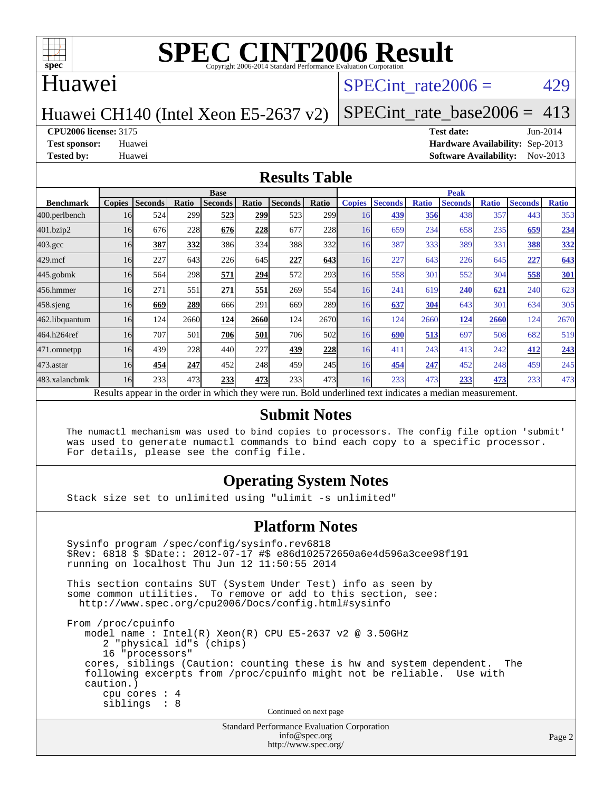

#### Huawei

#### SPECint rate $2006 = 429$

#### Huawei CH140 (Intel Xeon E5-2637 v2)

[SPECint\\_rate\\_base2006 =](http://www.spec.org/auto/cpu2006/Docs/result-fields.html#SPECintratebase2006) 413

**[CPU2006 license:](http://www.spec.org/auto/cpu2006/Docs/result-fields.html#CPU2006license)** 3175 **[Test date:](http://www.spec.org/auto/cpu2006/Docs/result-fields.html#Testdate)** Jun-2014

**[Test sponsor:](http://www.spec.org/auto/cpu2006/Docs/result-fields.html#Testsponsor)** Huawei **[Hardware Availability:](http://www.spec.org/auto/cpu2006/Docs/result-fields.html#HardwareAvailability)** Sep-2013 **[Tested by:](http://www.spec.org/auto/cpu2006/Docs/result-fields.html#Testedby)** Huawei **[Software Availability:](http://www.spec.org/auto/cpu2006/Docs/result-fields.html#SoftwareAvailability)** Nov-2013

#### **[Results Table](http://www.spec.org/auto/cpu2006/Docs/result-fields.html#ResultsTable)**

|                                                                                                          | <b>Base</b>   |                |       |                |       |                |                  | <b>Peak</b>   |                |              |                |              |                |              |
|----------------------------------------------------------------------------------------------------------|---------------|----------------|-------|----------------|-------|----------------|------------------|---------------|----------------|--------------|----------------|--------------|----------------|--------------|
| <b>Benchmark</b>                                                                                         | <b>Copies</b> | <b>Seconds</b> | Ratio | <b>Seconds</b> | Ratio | <b>Seconds</b> | Ratio            | <b>Copies</b> | <b>Seconds</b> | <b>Ratio</b> | <b>Seconds</b> | <b>Ratio</b> | <b>Seconds</b> | <b>Ratio</b> |
| 400.perlbench                                                                                            | 16            | 524            | 299   | 523            | 299   | 523            | 299 <sub>1</sub> | 16            | 439            | 356          | 438            | 357          | 443            | 353          |
| 401.bzip2                                                                                                | 16            | 676            | 228   | 676            | 228   | 677            | 228              | 16            | 659            | 234          | 658            | 235          | 659            | 234          |
| $403.\mathrm{gcc}$                                                                                       | 16            | 387            | 332   | 386            | 334   | 388            | 332              | 16            | 387            | 333          | 389            | 331          | 388            | <u>332</u>   |
| $429$ .mcf                                                                                               | 16            | 227            | 643   | 226            | 645   | 227            | 643              | 16            | 227            | 643          | 226            | 645          | 227            | 643          |
| $445$ .gobmk                                                                                             | 16            | 564            | 298   | 571            | 294   | 572            | 293 <sup>1</sup> | 16            | 558            | 301          | 552            | 304          | 558            | <b>301</b>   |
| 456.hmmer                                                                                                | 16            | 271            | 551   | 271            | 551   | 269            | 554              | 16            | 241            | 619          | 240            | 621          | 240            | 623          |
| 458 sjeng                                                                                                | 16            | 669            | 289   | 666            | 291   | 669            | <b>289</b>       | 16            | 637            | 304          | 643            | 301          | 634            | 305          |
| 462.libquantum                                                                                           | 16            | 124            | 2660  | 124            | 2660  | 124            | 2670             | 16            | 124            | 2660         | 124            | 2660         | 124            | 2670         |
| 464.h264ref                                                                                              | 16            | 707            | 501   | 706            | 501   | 706            | 502l             | 16            | 690            | 513          | 697            | 508          | 682            | 519          |
| 471.omnetpp                                                                                              | 16            | 439            | 228   | 440            | 227   | 439            | 228              | 16            | 411            | 243          | 413            | 242          | 412            | 243          |
| 473.astar                                                                                                | 16            | 454            | 247   | 452            | 248   | 459            | 245              | 16            | 454            | 247          | 452            | 248          | 459            | 245          |
| 483.xalancbmk                                                                                            | 16            | 233            | 473   | 233            | 473   | 233            | 473              | 16            | 233            | 473          | 233            | 473          | 233            | 473          |
| Results appear in the order in which they were run. Bold underlined text indicates a median measurement. |               |                |       |                |       |                |                  |               |                |              |                |              |                |              |

#### **[Submit Notes](http://www.spec.org/auto/cpu2006/Docs/result-fields.html#SubmitNotes)**

 The numactl mechanism was used to bind copies to processors. The config file option 'submit' was used to generate numactl commands to bind each copy to a specific processor. For details, please see the config file.

#### **[Operating System Notes](http://www.spec.org/auto/cpu2006/Docs/result-fields.html#OperatingSystemNotes)**

Stack size set to unlimited using "ulimit -s unlimited"

#### **[Platform Notes](http://www.spec.org/auto/cpu2006/Docs/result-fields.html#PlatformNotes)**

Standard Performance Evaluation Corporation Sysinfo program /spec/config/sysinfo.rev6818 \$Rev: 6818 \$ \$Date:: 2012-07-17 #\$ e86d102572650a6e4d596a3cee98f191 running on localhost Thu Jun 12 11:50:55 2014 This section contains SUT (System Under Test) info as seen by some common utilities. To remove or add to this section, see: <http://www.spec.org/cpu2006/Docs/config.html#sysinfo> From /proc/cpuinfo model name : Intel(R) Xeon(R) CPU E5-2637 v2 @ 3.50GHz 2 "physical id"s (chips) 16 "processors" cores, siblings (Caution: counting these is hw and system dependent. The following excerpts from /proc/cpuinfo might not be reliable. Use with caution.) cpu cores : 4 siblings : 8 Continued on next page

[info@spec.org](mailto:info@spec.org) <http://www.spec.org/>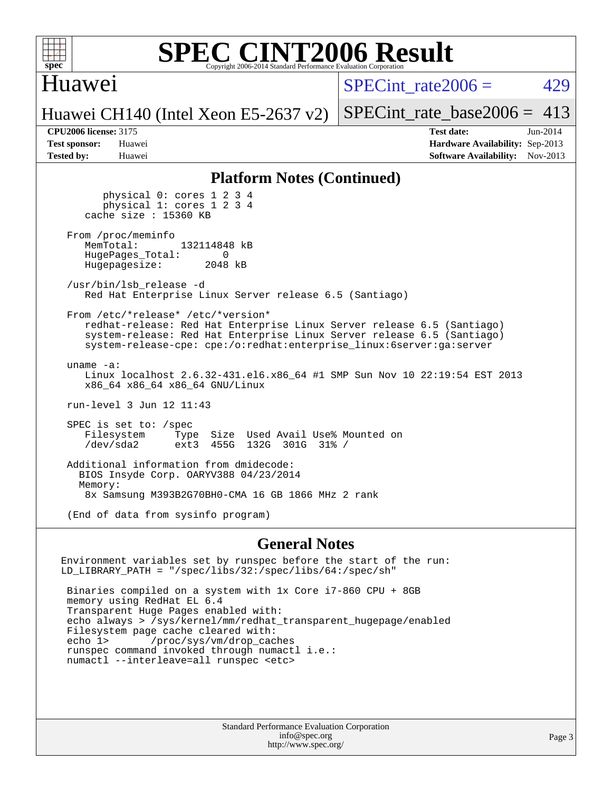

#### Huawei

SPECint rate $2006 = 429$ 

Huawei CH140 (Intel Xeon E5-2637 v2)

[SPECint\\_rate\\_base2006 =](http://www.spec.org/auto/cpu2006/Docs/result-fields.html#SPECintratebase2006)  $413$ 

**[CPU2006 license:](http://www.spec.org/auto/cpu2006/Docs/result-fields.html#CPU2006license)** 3175 **[Test date:](http://www.spec.org/auto/cpu2006/Docs/result-fields.html#Testdate)** Jun-2014 **[Test sponsor:](http://www.spec.org/auto/cpu2006/Docs/result-fields.html#Testsponsor)** Huawei **[Hardware Availability:](http://www.spec.org/auto/cpu2006/Docs/result-fields.html#HardwareAvailability)** Sep-2013 **[Tested by:](http://www.spec.org/auto/cpu2006/Docs/result-fields.html#Testedby)** Huawei **[Software Availability:](http://www.spec.org/auto/cpu2006/Docs/result-fields.html#SoftwareAvailability)** Nov-2013

#### **[Platform Notes \(Continued\)](http://www.spec.org/auto/cpu2006/Docs/result-fields.html#PlatformNotes)**

 physical 0: cores 1 2 3 4 physical 1: cores 1 2 3 4 cache size : 15360 KB From /proc/meminfo<br>MemTotal: 132114848 kB HugePages\_Total: 0<br>Hugepagesize: 2048 kB Hugepagesize: /usr/bin/lsb\_release -d Red Hat Enterprise Linux Server release 6.5 (Santiago) From /etc/\*release\* /etc/\*version\* redhat-release: Red Hat Enterprise Linux Server release 6.5 (Santiago) system-release: Red Hat Enterprise Linux Server release 6.5 (Santiago) system-release-cpe: cpe:/o:redhat:enterprise\_linux:6server:ga:server uname -a: Linux localhost 2.6.32-431.el6.x86\_64 #1 SMP Sun Nov 10 22:19:54 EST 2013 x86\_64 x86\_64 x86\_64 GNU/Linux run-level 3 Jun 12 11:43 SPEC is set to: /spec Filesystem Type Size Used Avail Use% Mounted on<br>
/dev/sda2 ext3 455G 132G 301G 31% / /dev/sda2 ext3 455G 132G 301G 31% / Additional information from dmidecode: BIOS Insyde Corp. OARYV388 04/23/2014 Memory: 8x Samsung M393B2G70BH0-CMA 16 GB 1866 MHz 2 rank (End of data from sysinfo program)

#### **[General Notes](http://www.spec.org/auto/cpu2006/Docs/result-fields.html#GeneralNotes)**

Environment variables set by runspec before the start of the run: LD\_LIBRARY\_PATH = "/spec/libs/32:/spec/libs/64:/spec/sh" Binaries compiled on a system with 1x Core i7-860 CPU + 8GB memory using RedHat EL 6.4 Transparent Huge Pages enabled with: echo always > /sys/kernel/mm/redhat\_transparent\_hugepage/enabled Filesystem page cache cleared with:<br>echo 1> /proc/sys/vm/drop cac /proc/sys/vm/drop\_caches runspec command invoked through numactl i.e.: numactl --interleave=all runspec <etc>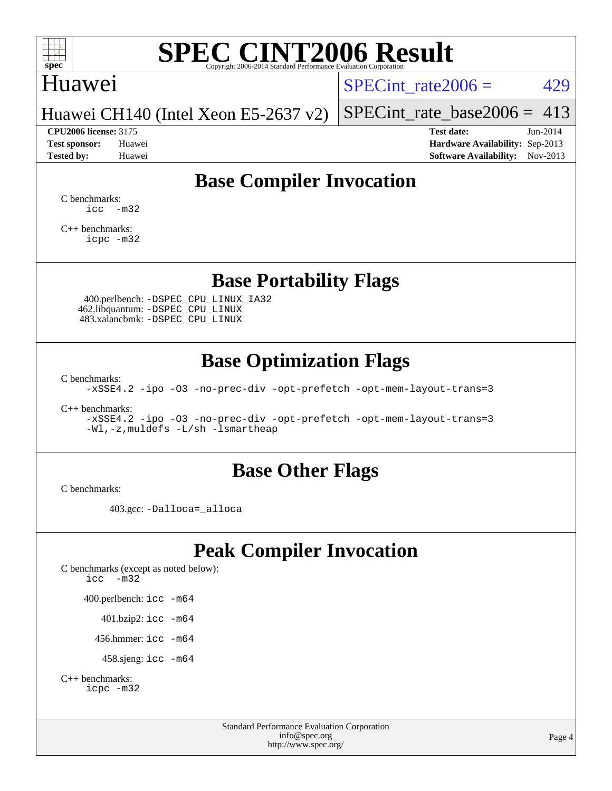

### Huawei

SPECint rate $2006 = 429$ 

Huawei CH140 (Intel Xeon E5-2637 v2)

#### **[CPU2006 license:](http://www.spec.org/auto/cpu2006/Docs/result-fields.html#CPU2006license)** 3175 **[Test date:](http://www.spec.org/auto/cpu2006/Docs/result-fields.html#Testdate)** Jun-2014

[SPECint\\_rate\\_base2006 =](http://www.spec.org/auto/cpu2006/Docs/result-fields.html#SPECintratebase2006)  $413$ 

**[Test sponsor:](http://www.spec.org/auto/cpu2006/Docs/result-fields.html#Testsponsor)** Huawei **[Hardware Availability:](http://www.spec.org/auto/cpu2006/Docs/result-fields.html#HardwareAvailability)** Sep-2013 **[Tested by:](http://www.spec.org/auto/cpu2006/Docs/result-fields.html#Testedby)** Huawei **[Software Availability:](http://www.spec.org/auto/cpu2006/Docs/result-fields.html#SoftwareAvailability)** Nov-2013

### **[Base Compiler Invocation](http://www.spec.org/auto/cpu2006/Docs/result-fields.html#BaseCompilerInvocation)**

[C benchmarks](http://www.spec.org/auto/cpu2006/Docs/result-fields.html#Cbenchmarks):  $\text{icc}$   $-\text{m32}$ 

[C++ benchmarks:](http://www.spec.org/auto/cpu2006/Docs/result-fields.html#CXXbenchmarks) [icpc -m32](http://www.spec.org/cpu2006/results/res2014q3/cpu2006-20140619-29969.flags.html#user_CXXbase_intel_icpc_4e5a5ef1a53fd332b3c49e69c3330699)

### **[Base Portability Flags](http://www.spec.org/auto/cpu2006/Docs/result-fields.html#BasePortabilityFlags)**

 400.perlbench: [-DSPEC\\_CPU\\_LINUX\\_IA32](http://www.spec.org/cpu2006/results/res2014q3/cpu2006-20140619-29969.flags.html#b400.perlbench_baseCPORTABILITY_DSPEC_CPU_LINUX_IA32) 462.libquantum: [-DSPEC\\_CPU\\_LINUX](http://www.spec.org/cpu2006/results/res2014q3/cpu2006-20140619-29969.flags.html#b462.libquantum_baseCPORTABILITY_DSPEC_CPU_LINUX) 483.xalancbmk: [-DSPEC\\_CPU\\_LINUX](http://www.spec.org/cpu2006/results/res2014q3/cpu2006-20140619-29969.flags.html#b483.xalancbmk_baseCXXPORTABILITY_DSPEC_CPU_LINUX)

### **[Base Optimization Flags](http://www.spec.org/auto/cpu2006/Docs/result-fields.html#BaseOptimizationFlags)**

[C benchmarks](http://www.spec.org/auto/cpu2006/Docs/result-fields.html#Cbenchmarks):

[-xSSE4.2](http://www.spec.org/cpu2006/results/res2014q3/cpu2006-20140619-29969.flags.html#user_CCbase_f-xSSE42_f91528193cf0b216347adb8b939d4107) [-ipo](http://www.spec.org/cpu2006/results/res2014q3/cpu2006-20140619-29969.flags.html#user_CCbase_f-ipo) [-O3](http://www.spec.org/cpu2006/results/res2014q3/cpu2006-20140619-29969.flags.html#user_CCbase_f-O3) [-no-prec-div](http://www.spec.org/cpu2006/results/res2014q3/cpu2006-20140619-29969.flags.html#user_CCbase_f-no-prec-div) [-opt-prefetch](http://www.spec.org/cpu2006/results/res2014q3/cpu2006-20140619-29969.flags.html#user_CCbase_f-opt-prefetch) [-opt-mem-layout-trans=3](http://www.spec.org/cpu2006/results/res2014q3/cpu2006-20140619-29969.flags.html#user_CCbase_f-opt-mem-layout-trans_a7b82ad4bd7abf52556d4961a2ae94d5)

[C++ benchmarks:](http://www.spec.org/auto/cpu2006/Docs/result-fields.html#CXXbenchmarks)

[-xSSE4.2](http://www.spec.org/cpu2006/results/res2014q3/cpu2006-20140619-29969.flags.html#user_CXXbase_f-xSSE42_f91528193cf0b216347adb8b939d4107) [-ipo](http://www.spec.org/cpu2006/results/res2014q3/cpu2006-20140619-29969.flags.html#user_CXXbase_f-ipo) [-O3](http://www.spec.org/cpu2006/results/res2014q3/cpu2006-20140619-29969.flags.html#user_CXXbase_f-O3) [-no-prec-div](http://www.spec.org/cpu2006/results/res2014q3/cpu2006-20140619-29969.flags.html#user_CXXbase_f-no-prec-div) [-opt-prefetch](http://www.spec.org/cpu2006/results/res2014q3/cpu2006-20140619-29969.flags.html#user_CXXbase_f-opt-prefetch) [-opt-mem-layout-trans=3](http://www.spec.org/cpu2006/results/res2014q3/cpu2006-20140619-29969.flags.html#user_CXXbase_f-opt-mem-layout-trans_a7b82ad4bd7abf52556d4961a2ae94d5) [-Wl,-z,muldefs](http://www.spec.org/cpu2006/results/res2014q3/cpu2006-20140619-29969.flags.html#user_CXXbase_link_force_multiple1_74079c344b956b9658436fd1b6dd3a8a) [-L/sh -lsmartheap](http://www.spec.org/cpu2006/results/res2014q3/cpu2006-20140619-29969.flags.html#user_CXXbase_SmartHeap_32f6c82aa1ed9c52345d30cf6e4a0499)

### **[Base Other Flags](http://www.spec.org/auto/cpu2006/Docs/result-fields.html#BaseOtherFlags)**

[C benchmarks](http://www.spec.org/auto/cpu2006/Docs/result-fields.html#Cbenchmarks):

403.gcc: [-Dalloca=\\_alloca](http://www.spec.org/cpu2006/results/res2014q3/cpu2006-20140619-29969.flags.html#b403.gcc_baseEXTRA_CFLAGS_Dalloca_be3056838c12de2578596ca5467af7f3)

## **[Peak Compiler Invocation](http://www.spec.org/auto/cpu2006/Docs/result-fields.html#PeakCompilerInvocation)**

[C benchmarks \(except as noted below\)](http://www.spec.org/auto/cpu2006/Docs/result-fields.html#Cbenchmarksexceptasnotedbelow): [icc -m32](http://www.spec.org/cpu2006/results/res2014q3/cpu2006-20140619-29969.flags.html#user_CCpeak_intel_icc_5ff4a39e364c98233615fdd38438c6f2) 400.perlbench: [icc -m64](http://www.spec.org/cpu2006/results/res2014q3/cpu2006-20140619-29969.flags.html#user_peakCCLD400_perlbench_intel_icc_64bit_bda6cc9af1fdbb0edc3795bac97ada53) 401.bzip2: [icc -m64](http://www.spec.org/cpu2006/results/res2014q3/cpu2006-20140619-29969.flags.html#user_peakCCLD401_bzip2_intel_icc_64bit_bda6cc9af1fdbb0edc3795bac97ada53)

456.hmmer: [icc -m64](http://www.spec.org/cpu2006/results/res2014q3/cpu2006-20140619-29969.flags.html#user_peakCCLD456_hmmer_intel_icc_64bit_bda6cc9af1fdbb0edc3795bac97ada53)

458.sjeng: [icc -m64](http://www.spec.org/cpu2006/results/res2014q3/cpu2006-20140619-29969.flags.html#user_peakCCLD458_sjeng_intel_icc_64bit_bda6cc9af1fdbb0edc3795bac97ada53)

```
C++ benchmarks: 
    icpc -m32
```
Standard Performance Evaluation Corporation [info@spec.org](mailto:info@spec.org) <http://www.spec.org/>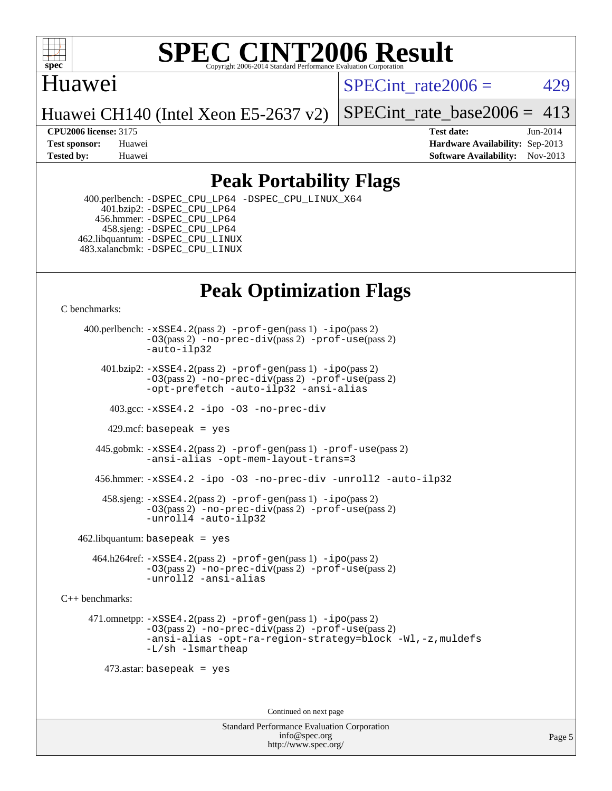

### Huawei

SPECint rate $2006 = 429$ 

Huawei CH140 (Intel Xeon E5-2637 v2)

[SPECint\\_rate\\_base2006 =](http://www.spec.org/auto/cpu2006/Docs/result-fields.html#SPECintratebase2006)  $413$ 

**[CPU2006 license:](http://www.spec.org/auto/cpu2006/Docs/result-fields.html#CPU2006license)** 3175 **[Test date:](http://www.spec.org/auto/cpu2006/Docs/result-fields.html#Testdate)** Jun-2014 **[Test sponsor:](http://www.spec.org/auto/cpu2006/Docs/result-fields.html#Testsponsor)** Huawei **[Hardware Availability:](http://www.spec.org/auto/cpu2006/Docs/result-fields.html#HardwareAvailability)** Sep-2013 **[Tested by:](http://www.spec.org/auto/cpu2006/Docs/result-fields.html#Testedby)** Huawei **[Software Availability:](http://www.spec.org/auto/cpu2006/Docs/result-fields.html#SoftwareAvailability)** Nov-2013

### **[Peak Portability Flags](http://www.spec.org/auto/cpu2006/Docs/result-fields.html#PeakPortabilityFlags)**

 400.perlbench: [-DSPEC\\_CPU\\_LP64](http://www.spec.org/cpu2006/results/res2014q3/cpu2006-20140619-29969.flags.html#b400.perlbench_peakCPORTABILITY_DSPEC_CPU_LP64) [-DSPEC\\_CPU\\_LINUX\\_X64](http://www.spec.org/cpu2006/results/res2014q3/cpu2006-20140619-29969.flags.html#b400.perlbench_peakCPORTABILITY_DSPEC_CPU_LINUX_X64) 401.bzip2: [-DSPEC\\_CPU\\_LP64](http://www.spec.org/cpu2006/results/res2014q3/cpu2006-20140619-29969.flags.html#suite_peakCPORTABILITY401_bzip2_DSPEC_CPU_LP64) 456.hmmer: [-DSPEC\\_CPU\\_LP64](http://www.spec.org/cpu2006/results/res2014q3/cpu2006-20140619-29969.flags.html#suite_peakCPORTABILITY456_hmmer_DSPEC_CPU_LP64) 458.sjeng: [-DSPEC\\_CPU\\_LP64](http://www.spec.org/cpu2006/results/res2014q3/cpu2006-20140619-29969.flags.html#suite_peakCPORTABILITY458_sjeng_DSPEC_CPU_LP64) 462.libquantum: [-DSPEC\\_CPU\\_LINUX](http://www.spec.org/cpu2006/results/res2014q3/cpu2006-20140619-29969.flags.html#b462.libquantum_peakCPORTABILITY_DSPEC_CPU_LINUX) 483.xalancbmk: [-DSPEC\\_CPU\\_LINUX](http://www.spec.org/cpu2006/results/res2014q3/cpu2006-20140619-29969.flags.html#b483.xalancbmk_peakCXXPORTABILITY_DSPEC_CPU_LINUX)

# **[Peak Optimization Flags](http://www.spec.org/auto/cpu2006/Docs/result-fields.html#PeakOptimizationFlags)**

[C benchmarks](http://www.spec.org/auto/cpu2006/Docs/result-fields.html#Cbenchmarks):

 400.perlbench: [-xSSE4.2](http://www.spec.org/cpu2006/results/res2014q3/cpu2006-20140619-29969.flags.html#user_peakPASS2_CFLAGSPASS2_LDCFLAGS400_perlbench_f-xSSE42_f91528193cf0b216347adb8b939d4107)(pass 2) [-prof-gen](http://www.spec.org/cpu2006/results/res2014q3/cpu2006-20140619-29969.flags.html#user_peakPASS1_CFLAGSPASS1_LDCFLAGS400_perlbench_prof_gen_e43856698f6ca7b7e442dfd80e94a8fc)(pass 1) [-ipo](http://www.spec.org/cpu2006/results/res2014q3/cpu2006-20140619-29969.flags.html#user_peakPASS2_CFLAGSPASS2_LDCFLAGS400_perlbench_f-ipo)(pass 2) [-O3](http://www.spec.org/cpu2006/results/res2014q3/cpu2006-20140619-29969.flags.html#user_peakPASS2_CFLAGSPASS2_LDCFLAGS400_perlbench_f-O3)(pass 2) [-no-prec-div](http://www.spec.org/cpu2006/results/res2014q3/cpu2006-20140619-29969.flags.html#user_peakPASS2_CFLAGSPASS2_LDCFLAGS400_perlbench_f-no-prec-div)(pass 2) [-prof-use](http://www.spec.org/cpu2006/results/res2014q3/cpu2006-20140619-29969.flags.html#user_peakPASS2_CFLAGSPASS2_LDCFLAGS400_perlbench_prof_use_bccf7792157ff70d64e32fe3e1250b55)(pass 2) [-auto-ilp32](http://www.spec.org/cpu2006/results/res2014q3/cpu2006-20140619-29969.flags.html#user_peakCOPTIMIZE400_perlbench_f-auto-ilp32)  $401.bzip2: -xSSE4.2(pass 2) -prof-qen(pass 1) -ipo(pass 2)$  $401.bzip2: -xSSE4.2(pass 2) -prof-qen(pass 1) -ipo(pass 2)$  $401.bzip2: -xSSE4.2(pass 2) -prof-qen(pass 1) -ipo(pass 2)$  $401.bzip2: -xSSE4.2(pass 2) -prof-qen(pass 1) -ipo(pass 2)$  $401.bzip2: -xSSE4.2(pass 2) -prof-qen(pass 1) -ipo(pass 2)$ [-O3](http://www.spec.org/cpu2006/results/res2014q3/cpu2006-20140619-29969.flags.html#user_peakPASS2_CFLAGSPASS2_LDCFLAGS401_bzip2_f-O3)(pass 2) [-no-prec-div](http://www.spec.org/cpu2006/results/res2014q3/cpu2006-20140619-29969.flags.html#user_peakPASS2_CFLAGSPASS2_LDCFLAGS401_bzip2_f-no-prec-div)(pass 2) [-prof-use](http://www.spec.org/cpu2006/results/res2014q3/cpu2006-20140619-29969.flags.html#user_peakPASS2_CFLAGSPASS2_LDCFLAGS401_bzip2_prof_use_bccf7792157ff70d64e32fe3e1250b55)(pass 2) [-opt-prefetch](http://www.spec.org/cpu2006/results/res2014q3/cpu2006-20140619-29969.flags.html#user_peakCOPTIMIZE401_bzip2_f-opt-prefetch) [-auto-ilp32](http://www.spec.org/cpu2006/results/res2014q3/cpu2006-20140619-29969.flags.html#user_peakCOPTIMIZE401_bzip2_f-auto-ilp32) [-ansi-alias](http://www.spec.org/cpu2006/results/res2014q3/cpu2006-20140619-29969.flags.html#user_peakCOPTIMIZE401_bzip2_f-ansi-alias) 403.gcc: [-xSSE4.2](http://www.spec.org/cpu2006/results/res2014q3/cpu2006-20140619-29969.flags.html#user_peakCOPTIMIZE403_gcc_f-xSSE42_f91528193cf0b216347adb8b939d4107) [-ipo](http://www.spec.org/cpu2006/results/res2014q3/cpu2006-20140619-29969.flags.html#user_peakCOPTIMIZE403_gcc_f-ipo) [-O3](http://www.spec.org/cpu2006/results/res2014q3/cpu2006-20140619-29969.flags.html#user_peakCOPTIMIZE403_gcc_f-O3) [-no-prec-div](http://www.spec.org/cpu2006/results/res2014q3/cpu2006-20140619-29969.flags.html#user_peakCOPTIMIZE403_gcc_f-no-prec-div) 429.mcf: basepeak = yes 445.gobmk: [-xSSE4.2](http://www.spec.org/cpu2006/results/res2014q3/cpu2006-20140619-29969.flags.html#user_peakPASS2_CFLAGSPASS2_LDCFLAGS445_gobmk_f-xSSE42_f91528193cf0b216347adb8b939d4107)(pass 2) [-prof-gen](http://www.spec.org/cpu2006/results/res2014q3/cpu2006-20140619-29969.flags.html#user_peakPASS1_CFLAGSPASS1_LDCFLAGS445_gobmk_prof_gen_e43856698f6ca7b7e442dfd80e94a8fc)(pass 1) [-prof-use](http://www.spec.org/cpu2006/results/res2014q3/cpu2006-20140619-29969.flags.html#user_peakPASS2_CFLAGSPASS2_LDCFLAGS445_gobmk_prof_use_bccf7792157ff70d64e32fe3e1250b55)(pass 2) [-ansi-alias](http://www.spec.org/cpu2006/results/res2014q3/cpu2006-20140619-29969.flags.html#user_peakCOPTIMIZE445_gobmk_f-ansi-alias) [-opt-mem-layout-trans=3](http://www.spec.org/cpu2006/results/res2014q3/cpu2006-20140619-29969.flags.html#user_peakCOPTIMIZE445_gobmk_f-opt-mem-layout-trans_a7b82ad4bd7abf52556d4961a2ae94d5) 456.hmmer: [-xSSE4.2](http://www.spec.org/cpu2006/results/res2014q3/cpu2006-20140619-29969.flags.html#user_peakCOPTIMIZE456_hmmer_f-xSSE42_f91528193cf0b216347adb8b939d4107) [-ipo](http://www.spec.org/cpu2006/results/res2014q3/cpu2006-20140619-29969.flags.html#user_peakCOPTIMIZE456_hmmer_f-ipo) [-O3](http://www.spec.org/cpu2006/results/res2014q3/cpu2006-20140619-29969.flags.html#user_peakCOPTIMIZE456_hmmer_f-O3) [-no-prec-div](http://www.spec.org/cpu2006/results/res2014q3/cpu2006-20140619-29969.flags.html#user_peakCOPTIMIZE456_hmmer_f-no-prec-div) [-unroll2](http://www.spec.org/cpu2006/results/res2014q3/cpu2006-20140619-29969.flags.html#user_peakCOPTIMIZE456_hmmer_f-unroll_784dae83bebfb236979b41d2422d7ec2) [-auto-ilp32](http://www.spec.org/cpu2006/results/res2014q3/cpu2006-20140619-29969.flags.html#user_peakCOPTIMIZE456_hmmer_f-auto-ilp32) 458.sjeng: [-xSSE4.2](http://www.spec.org/cpu2006/results/res2014q3/cpu2006-20140619-29969.flags.html#user_peakPASS2_CFLAGSPASS2_LDCFLAGS458_sjeng_f-xSSE42_f91528193cf0b216347adb8b939d4107)(pass 2) [-prof-gen](http://www.spec.org/cpu2006/results/res2014q3/cpu2006-20140619-29969.flags.html#user_peakPASS1_CFLAGSPASS1_LDCFLAGS458_sjeng_prof_gen_e43856698f6ca7b7e442dfd80e94a8fc)(pass 1) [-ipo](http://www.spec.org/cpu2006/results/res2014q3/cpu2006-20140619-29969.flags.html#user_peakPASS2_CFLAGSPASS2_LDCFLAGS458_sjeng_f-ipo)(pass 2) [-O3](http://www.spec.org/cpu2006/results/res2014q3/cpu2006-20140619-29969.flags.html#user_peakPASS2_CFLAGSPASS2_LDCFLAGS458_sjeng_f-O3)(pass 2) [-no-prec-div](http://www.spec.org/cpu2006/results/res2014q3/cpu2006-20140619-29969.flags.html#user_peakPASS2_CFLAGSPASS2_LDCFLAGS458_sjeng_f-no-prec-div)(pass 2) [-prof-use](http://www.spec.org/cpu2006/results/res2014q3/cpu2006-20140619-29969.flags.html#user_peakPASS2_CFLAGSPASS2_LDCFLAGS458_sjeng_prof_use_bccf7792157ff70d64e32fe3e1250b55)(pass 2) [-unroll4](http://www.spec.org/cpu2006/results/res2014q3/cpu2006-20140619-29969.flags.html#user_peakCOPTIMIZE458_sjeng_f-unroll_4e5e4ed65b7fd20bdcd365bec371b81f) [-auto-ilp32](http://www.spec.org/cpu2006/results/res2014q3/cpu2006-20140619-29969.flags.html#user_peakCOPTIMIZE458_sjeng_f-auto-ilp32)  $462$ .libquantum: basepeak = yes 464.h264ref: [-xSSE4.2](http://www.spec.org/cpu2006/results/res2014q3/cpu2006-20140619-29969.flags.html#user_peakPASS2_CFLAGSPASS2_LDCFLAGS464_h264ref_f-xSSE42_f91528193cf0b216347adb8b939d4107)(pass 2) [-prof-gen](http://www.spec.org/cpu2006/results/res2014q3/cpu2006-20140619-29969.flags.html#user_peakPASS1_CFLAGSPASS1_LDCFLAGS464_h264ref_prof_gen_e43856698f6ca7b7e442dfd80e94a8fc)(pass 1) [-ipo](http://www.spec.org/cpu2006/results/res2014q3/cpu2006-20140619-29969.flags.html#user_peakPASS2_CFLAGSPASS2_LDCFLAGS464_h264ref_f-ipo)(pass 2) [-O3](http://www.spec.org/cpu2006/results/res2014q3/cpu2006-20140619-29969.flags.html#user_peakPASS2_CFLAGSPASS2_LDCFLAGS464_h264ref_f-O3)(pass 2) [-no-prec-div](http://www.spec.org/cpu2006/results/res2014q3/cpu2006-20140619-29969.flags.html#user_peakPASS2_CFLAGSPASS2_LDCFLAGS464_h264ref_f-no-prec-div)(pass 2) [-prof-use](http://www.spec.org/cpu2006/results/res2014q3/cpu2006-20140619-29969.flags.html#user_peakPASS2_CFLAGSPASS2_LDCFLAGS464_h264ref_prof_use_bccf7792157ff70d64e32fe3e1250b55)(pass 2) [-unroll2](http://www.spec.org/cpu2006/results/res2014q3/cpu2006-20140619-29969.flags.html#user_peakCOPTIMIZE464_h264ref_f-unroll_784dae83bebfb236979b41d2422d7ec2) [-ansi-alias](http://www.spec.org/cpu2006/results/res2014q3/cpu2006-20140619-29969.flags.html#user_peakCOPTIMIZE464_h264ref_f-ansi-alias) [C++ benchmarks:](http://www.spec.org/auto/cpu2006/Docs/result-fields.html#CXXbenchmarks) 471.omnetpp: [-xSSE4.2](http://www.spec.org/cpu2006/results/res2014q3/cpu2006-20140619-29969.flags.html#user_peakPASS2_CXXFLAGSPASS2_LDCXXFLAGS471_omnetpp_f-xSSE42_f91528193cf0b216347adb8b939d4107)(pass 2) [-prof-gen](http://www.spec.org/cpu2006/results/res2014q3/cpu2006-20140619-29969.flags.html#user_peakPASS1_CXXFLAGSPASS1_LDCXXFLAGS471_omnetpp_prof_gen_e43856698f6ca7b7e442dfd80e94a8fc)(pass 1) [-ipo](http://www.spec.org/cpu2006/results/res2014q3/cpu2006-20140619-29969.flags.html#user_peakPASS2_CXXFLAGSPASS2_LDCXXFLAGS471_omnetpp_f-ipo)(pass 2) [-O3](http://www.spec.org/cpu2006/results/res2014q3/cpu2006-20140619-29969.flags.html#user_peakPASS2_CXXFLAGSPASS2_LDCXXFLAGS471_omnetpp_f-O3)(pass 2) [-no-prec-div](http://www.spec.org/cpu2006/results/res2014q3/cpu2006-20140619-29969.flags.html#user_peakPASS2_CXXFLAGSPASS2_LDCXXFLAGS471_omnetpp_f-no-prec-div)(pass 2) [-prof-use](http://www.spec.org/cpu2006/results/res2014q3/cpu2006-20140619-29969.flags.html#user_peakPASS2_CXXFLAGSPASS2_LDCXXFLAGS471_omnetpp_prof_use_bccf7792157ff70d64e32fe3e1250b55)(pass 2) [-ansi-alias](http://www.spec.org/cpu2006/results/res2014q3/cpu2006-20140619-29969.flags.html#user_peakCXXOPTIMIZE471_omnetpp_f-ansi-alias) [-opt-ra-region-strategy=block](http://www.spec.org/cpu2006/results/res2014q3/cpu2006-20140619-29969.flags.html#user_peakCXXOPTIMIZE471_omnetpp_f-opt-ra-region-strategy_a0a37c372d03933b2a18d4af463c1f69) [-Wl,-z,muldefs](http://www.spec.org/cpu2006/results/res2014q3/cpu2006-20140619-29969.flags.html#user_peakEXTRA_LDFLAGS471_omnetpp_link_force_multiple1_74079c344b956b9658436fd1b6dd3a8a) [-L/sh -lsmartheap](http://www.spec.org/cpu2006/results/res2014q3/cpu2006-20140619-29969.flags.html#user_peakEXTRA_LIBS471_omnetpp_SmartHeap_32f6c82aa1ed9c52345d30cf6e4a0499) 473.astar: basepeak = yes Continued on next page

> Standard Performance Evaluation Corporation [info@spec.org](mailto:info@spec.org) <http://www.spec.org/>